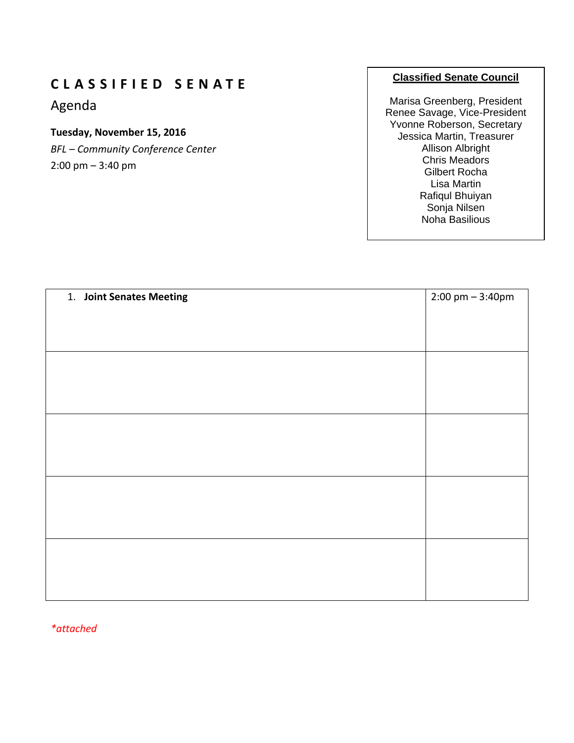## **C L A S S I F I E D S E N A T E**

Agenda

## **Tuesday, November 15, 2016**

*BFL – Community Conference Center* 2:00 pm – 3:40 pm

## **Classified Senate Council**

Marisa Greenberg, President Renee Savage, Vice-President Yvonne Roberson, Secretary Jessica Martin, Treasurer Allison Albright Chris Meadors Gilbert Rocha Lisa Martin Rafiqul Bhuiyan Sonja Nilsen Noha Basilious

| 1. Joint Senates Meeting | $2:00 \text{ pm} - 3:40 \text{pm}$ |
|--------------------------|------------------------------------|
|                          |                                    |
|                          |                                    |
|                          |                                    |
|                          |                                    |
|                          |                                    |
|                          |                                    |
|                          |                                    |
|                          |                                    |
|                          |                                    |
|                          |                                    |
|                          |                                    |
|                          |                                    |
|                          |                                    |
|                          |                                    |
|                          |                                    |
|                          |                                    |
|                          |                                    |
|                          |                                    |
|                          |                                    |

*\*attached*